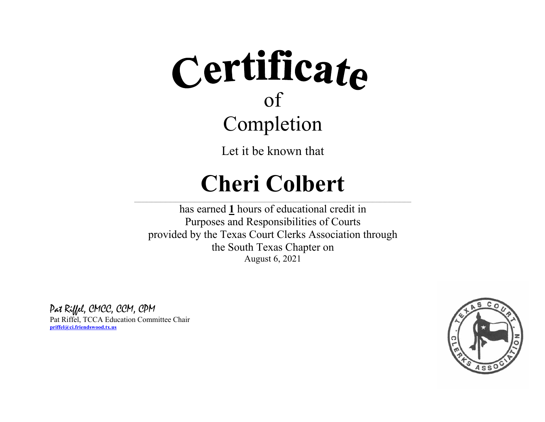Let it be known that

### **Cheri Colbert**

 $\_$  , and the state of the state of the state of the state of the state of the state of the state of the state of the state of the state of the state of the state of the state of the state of the state of the state of the

has earned **1** hours of educational credit in Purposes and Responsibilities of Courts provided by the Texas Court Clerks Association through the South Texas Chapter on August 6, 2021

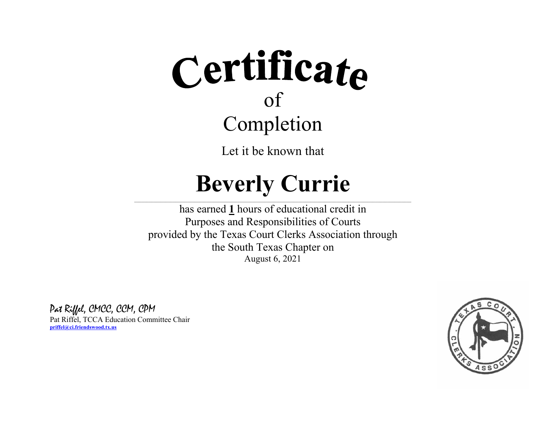Let it be known that

### **Beverly Currie**

 $\_$  , and the state of the state of the state of the state of the state of the state of the state of the state of the state of the state of the state of the state of the state of the state of the state of the state of the

has earned **1** hours of educational credit in Purposes and Responsibilities of Courts provided by the Texas Court Clerks Association through the South Texas Chapter on August 6, 2021

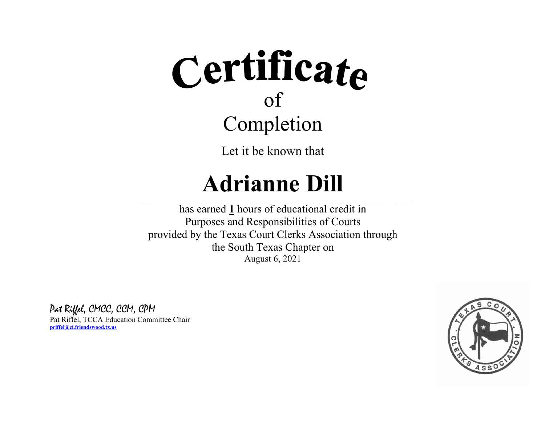Let it be known that

### **Adrianne Dill**

 $\_$  , and the state of the state of the state of the state of the state of the state of the state of the state of the state of the state of the state of the state of the state of the state of the state of the state of the

has earned **1** hours of educational credit in Purposes and Responsibilities of Courts provided by the Texas Court Clerks Association through the South Texas Chapter on August 6, 2021

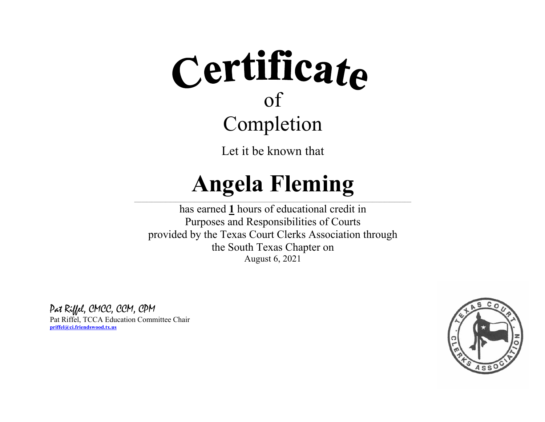Let it be known that

#### **Angela Fleming**  $\_$  , and the state of the state of the state of the state of the state of the state of the state of the state of the state of the state of the state of the state of the state of the state of the state of the state of the

has earned **1** hours of educational credit in Purposes and Responsibilities of Courts provided by the Texas Court Clerks Association through the South Texas Chapter on August 6, 2021

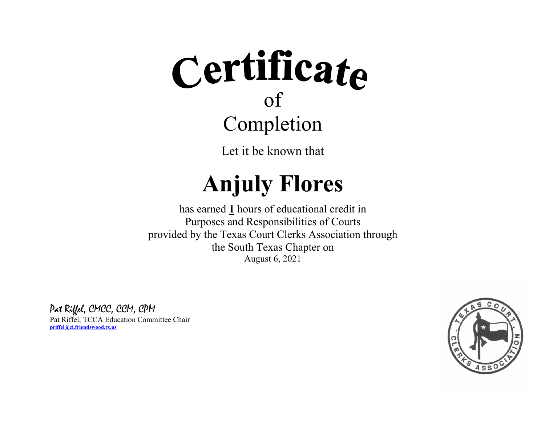Let it be known that

#### **Anjuly Flores**  $\_$  , and the state of the state of the state of the state of the state of the state of the state of the state of the state of the state of the state of the state of the state of the state of the state of the state of the

has earned **1** hours of educational credit in Purposes and Responsibilities of Courts provided by the Texas Court Clerks Association through the South Texas Chapter on August 6, 2021

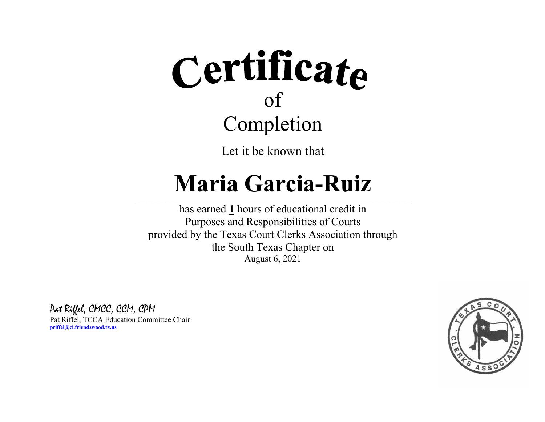Let it be known that

### **Maria Garcia-Ruiz**

 $\_$  , and the state of the state of the state of the state of the state of the state of the state of the state of the state of the state of the state of the state of the state of the state of the state of the state of the

has earned **1** hours of educational credit in Purposes and Responsibilities of Courts provided by the Texas Court Clerks Association through the South Texas Chapter on August 6, 2021

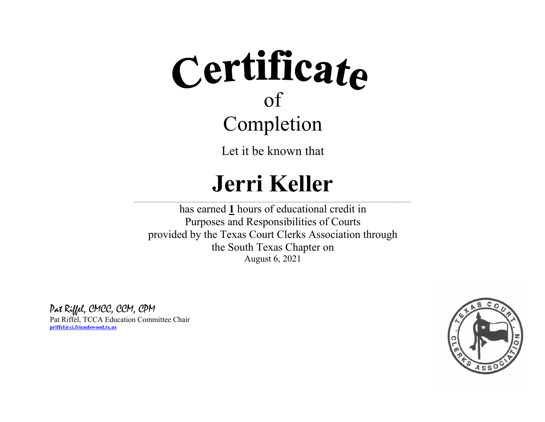Let it be known that

### **Jerri Keller**

 $\_$  , and the state of the state of the state of the state of the state of the state of the state of the state of the state of the state of the state of the state of the state of the state of the state of the state of the

has earned **1** hours of educational credit in Purposes and Responsibilities of Courts provided by the Texas Court Clerks Association through the South Texas Chapter on August 6, 2021

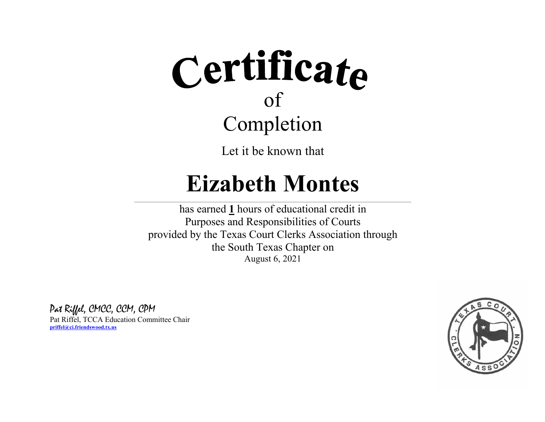Let it be known that

### **Eizabeth Montes**

 $\_$  , and the state of the state of the state of the state of the state of the state of the state of the state of the state of the state of the state of the state of the state of the state of the state of the state of the

has earned **1** hours of educational credit in Purposes and Responsibilities of Courts provided by the Texas Court Clerks Association through the South Texas Chapter on August 6, 2021